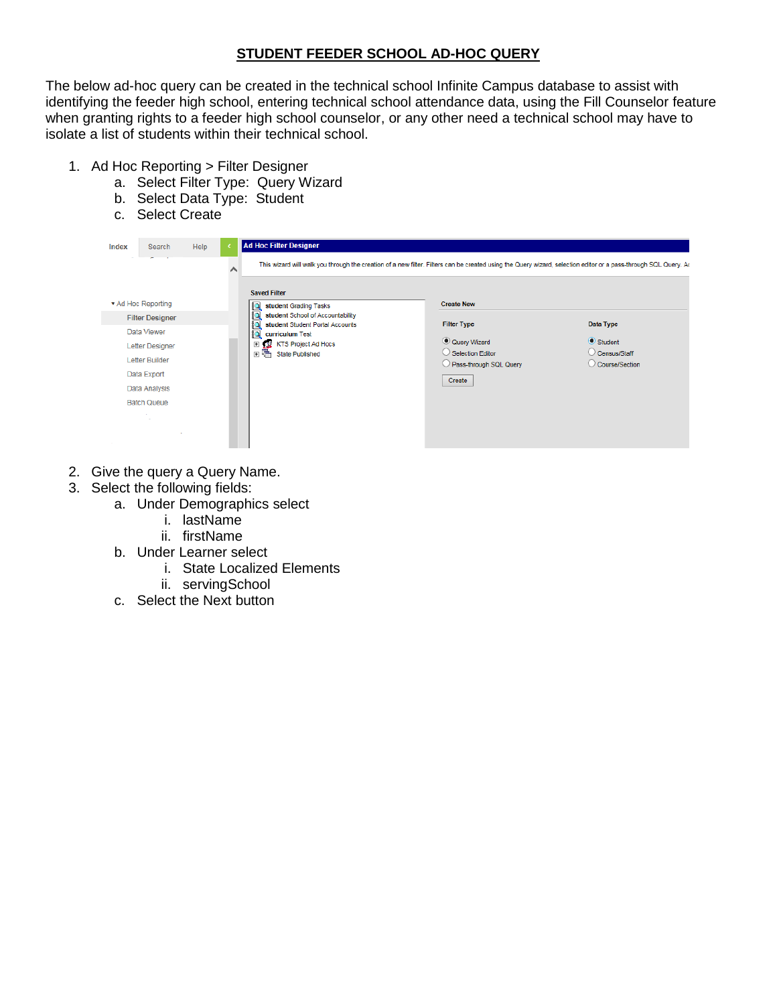## **STUDENT FEEDER SCHOOL AD-HOC QUERY**

The below ad-hoc query can be created in the technical school Infinite Campus database to assist with identifying the feeder high school, entering technical school attendance data, using the Fill Counselor feature when granting rights to a feeder high school counselor, or any other need a technical school may have to isolate a list of students within their technical school.

- 1. Ad Hoc Reporting > Filter Designer
	- a. Select Filter Type: Query Wizard
	- b. Select Data Type: Student
	- c. Select Create

| Index              | Search                   | Help                  | <b>Ad Hoc Filter Designer</b>                                       |                                                                                                                                                                 |                                  |  |
|--------------------|--------------------------|-----------------------|---------------------------------------------------------------------|-----------------------------------------------------------------------------------------------------------------------------------------------------------------|----------------------------------|--|
|                    | $\overline{\phantom{a}}$ |                       | <b>Saved Filter</b>                                                 | This wizard will walk you through the creation of a new filter. Filters can be created using the Query wizard, selection editor or a pass-through SQL Query. Ao |                                  |  |
| ▼ Ad Hoc Reporting |                          | student Grading Tasks | <b>Create New</b>                                                   |                                                                                                                                                                 |                                  |  |
|                    | <b>Filter Designer</b>   |                       | student School of Accountability<br>student Student Portal Accounts | <b>Filter Type</b>                                                                                                                                              | Data Type                        |  |
|                    | Data Viewer              |                       | Þ<br>curriculum Test                                                |                                                                                                                                                                 |                                  |  |
|                    | <b>Letter Designer</b>   |                       | 田 12 KTS Project Ad Hocs                                            | C Query Wizard                                                                                                                                                  | Student                          |  |
|                    | Letter Builder           |                       | 国唱<br><b>State Published</b>                                        | Selection Editor                                                                                                                                                | C Census/Staff<br>Course/Section |  |
|                    | Data Export              |                       |                                                                     | Pass-through SQL Query                                                                                                                                          |                                  |  |
|                    | Data Analysis            |                       |                                                                     | Create                                                                                                                                                          |                                  |  |
|                    | <b>Batch Queue</b>       |                       |                                                                     |                                                                                                                                                                 |                                  |  |
|                    |                          |                       |                                                                     |                                                                                                                                                                 |                                  |  |
|                    |                          |                       |                                                                     |                                                                                                                                                                 |                                  |  |
|                    |                          |                       |                                                                     |                                                                                                                                                                 |                                  |  |

- 2. Give the query a Query Name.
- 3. Select the following fields:
	- a. Under Demographics select
		- i. lastName
		- ii. firstName
	- b. Under Learner select
		- i. State Localized Elements
		- ii. servingSchool
	- c. Select the Next button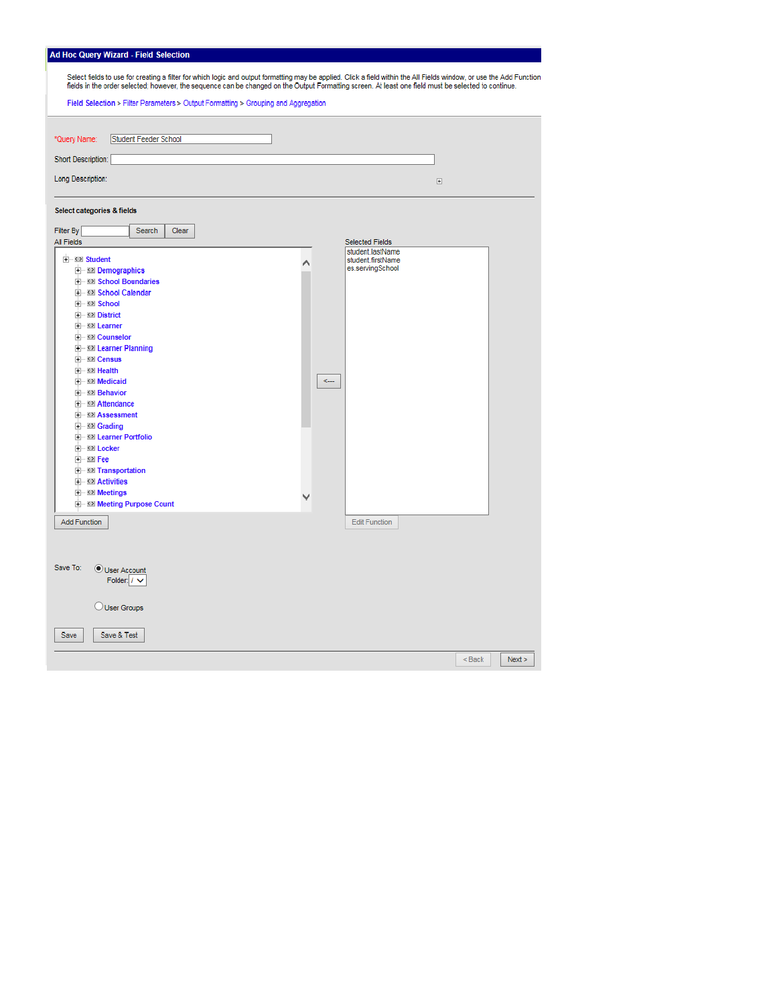|  |  | Ad Hoc Query Wizard - Field Selection |
|--|--|---------------------------------------|
|--|--|---------------------------------------|

| Select fields to use for creating a filter for which logic and output formatting may be applied. Click a field within the All Fields window, or use the Add Function<br>fields in the order selected; however, the sequence can be changed on the Output Formatting screen. At least one field must be selected to continue.                                                                                                                                                                                         |                                                                                     |                  |  |  |  |  |  |
|----------------------------------------------------------------------------------------------------------------------------------------------------------------------------------------------------------------------------------------------------------------------------------------------------------------------------------------------------------------------------------------------------------------------------------------------------------------------------------------------------------------------|-------------------------------------------------------------------------------------|------------------|--|--|--|--|--|
| Field Selection > Filter Parameters > Output Formatting > Grouping and Aggregation                                                                                                                                                                                                                                                                                                                                                                                                                                   |                                                                                     |                  |  |  |  |  |  |
| Student Feeder School<br>*Query Name:<br>Short Description:<br>Long Description:                                                                                                                                                                                                                                                                                                                                                                                                                                     |                                                                                     | $\boxed{\pm}$    |  |  |  |  |  |
| Select categories & fields                                                                                                                                                                                                                                                                                                                                                                                                                                                                                           |                                                                                     |                  |  |  |  |  |  |
| Filter By<br>Search<br>Clear<br><b>All Fields</b>                                                                                                                                                                                                                                                                                                                                                                                                                                                                    | <b>Selected Fields</b>                                                              |                  |  |  |  |  |  |
| <b>E</b> ≤≥ Student<br><b>H E Demographics</b><br><b>E-S2 School Boundaries</b><br>F-82 School Calendar<br>日 <> School<br>□ <> District<br><b>+ &lt;&gt; Learner</b><br><b>E</b> <> Counselor<br><b>H EX Learner Planning</b><br><b>⊞</b> ∴ Census<br>田 32 Health<br>E- <> Medicaid<br>+ < > Behavior<br>E <b>SI</b> Attendance<br>+ S> Assessment<br><b>E</b> <> Grading<br><b>THE SIMUL Learner Portfolio</b><br><b>E</b> <> Locker<br>⊞ ∴≤≥l Fee<br><b>H EXP Transportation</b><br>$\pm$ $\rightarrow$ Activities | student.lastName<br>student.firstName<br>⌒<br>es.servingSchool<br>$\zeta_{\rm rms}$ |                  |  |  |  |  |  |
| 田 2 Meetings<br><b>H</b> . <b>KIN</b> Meeting Purpose Count                                                                                                                                                                                                                                                                                                                                                                                                                                                          |                                                                                     |                  |  |  |  |  |  |
| <b>Add Function</b>                                                                                                                                                                                                                                                                                                                                                                                                                                                                                                  | <b>Edit Function</b>                                                                |                  |  |  |  |  |  |
| Save To:<br>User Account<br>Folder: $\prime \vee$<br>User Groups<br>Save<br>Save & Test                                                                                                                                                                                                                                                                                                                                                                                                                              |                                                                                     |                  |  |  |  |  |  |
|                                                                                                                                                                                                                                                                                                                                                                                                                                                                                                                      |                                                                                     | $<$ Back<br>Next |  |  |  |  |  |